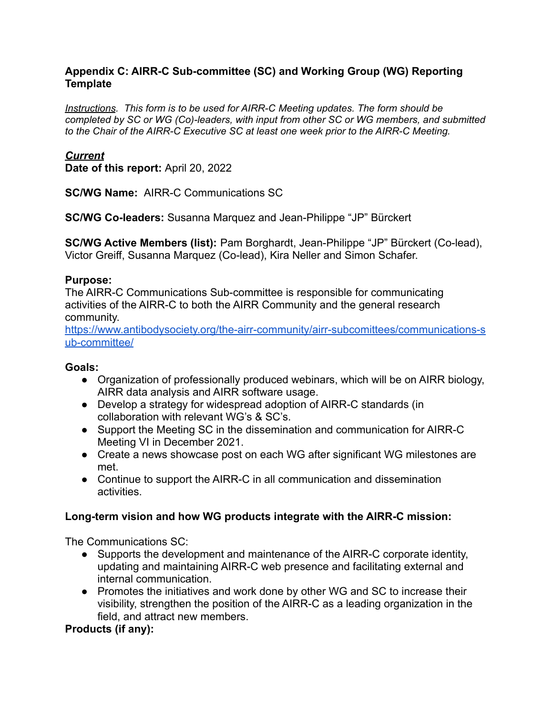#### **Appendix C: AIRR-C Sub-committee (SC) and Working Group (WG) Reporting Template**

*Instructions. This form is to be used for AIRR-C Meeting updates. The form should be completed by SC or WG (Co)-leaders, with input from other SC or WG members, and submitted to the Chair of the AIRR-C Executive SC at least one week prior to the AIRR-C Meeting.*

#### *Current*

**Date of this report:** April 20, 2022

**SC/WG Name:** AIRR-C Communications SC

**SC/WG Co-leaders:** Susanna Marquez and Jean-Philippe "JP" Bürckert

**SC/WG Active Members (list):** Pam Borghardt, Jean-Philippe "JP" Bürckert (Co-lead), Victor Greiff, Susanna Marquez (Co-lead), Kira Neller and Simon Schafer.

#### **Purpose:**

The AIRR-C Communications Sub-committee is responsible for communicating activities of the AIRR-C to both the AIRR Community and the general research community.

[https://www.antibodysociety.org/the-airr-community/airr-subcomittees/communications-s](https://www.antibodysociety.org/the-airr-community/airr-subcomittees/communications-sub-committee/) [ub-committee/](https://www.antibodysociety.org/the-airr-community/airr-subcomittees/communications-sub-committee/)

#### **Goals:**

- Organization of professionally produced webinars, which will be on AIRR biology, AIRR data analysis and AIRR software usage.
- Develop a strategy for widespread adoption of AIRR-C standards (in collaboration with relevant WG's & SC's.
- Support the Meeting SC in the dissemination and communication for AIRR-C Meeting VI in December 2021.
- Create a news showcase post on each WG after significant WG milestones are met.
- Continue to support the AIRR-C in all communication and dissemination activities.

#### **Long-term vision and how WG products integrate with the AIRR-C mission:**

The Communications SC:

- Supports the development and maintenance of the AIRR-C corporate identity, updating and maintaining AIRR-C web presence and facilitating external and internal communication.
- Promotes the initiatives and work done by other WG and SC to increase their visibility, strengthen the position of the AIRR-C as a leading organization in the field, and attract new members.

#### **Products (if any):**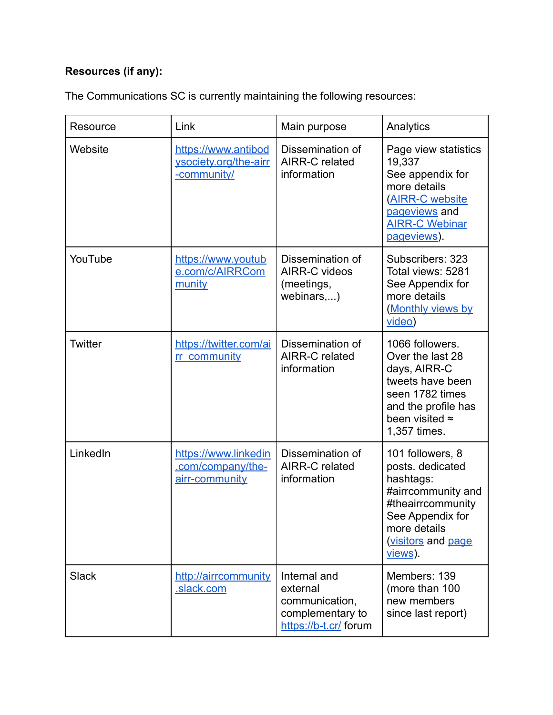# **Resources (if any):**

The Communications SC is currently maintaining the following resources:

| Resource       | Link                                                        | Main purpose                                                                            | Analytics                                                                                                                                                        |
|----------------|-------------------------------------------------------------|-----------------------------------------------------------------------------------------|------------------------------------------------------------------------------------------------------------------------------------------------------------------|
| Website        | https://www.antibod<br>ysociety.org/the-airr<br>-community/ | Dissemination of<br>AIRR-C related<br>information                                       | Page view statistics<br>19,337<br>See appendix for<br>more details<br><b>(AIRR-C website</b><br>pageviews and<br><b>AIRR-C Webinar</b><br>pageviews).            |
| YouTube        | https://www.youtub<br>e.com/c/AIRRCom<br>munity             | Dissemination of<br><b>AIRR-C videos</b><br>(meetings,<br>webinars,)                    | Subscribers: 323<br>Total views: 5281<br>See Appendix for<br>more details<br><b>Monthly views by</b><br>video)                                                   |
| <b>Twitter</b> | https://twitter.com/ai<br>rr community                      | Dissemination of<br><b>AIRR-C related</b><br>information                                | 1066 followers.<br>Over the last 28<br>days, AIRR-C<br>tweets have been<br>seen 1782 times<br>and the profile has<br>been visited $\approx$<br>1,357 times.      |
| LinkedIn       | https://www.linkedin<br>.com/company/the-<br>airr-community | Dissemination of<br><b>AIRR-C related</b><br>information                                | 101 followers, 8<br>posts. dedicated<br>hashtags:<br>#airrcommunity and<br>#theairrcommunity<br>See Appendix for<br>more details<br>visitors and page<br>views). |
| <b>Slack</b>   | http://airrcommunity<br>.slack.com                          | Internal and<br>external<br>communication,<br>complementary to<br>https://b-t.cr/ forum | Members: 139<br>(more than 100<br>new members<br>since last report)                                                                                              |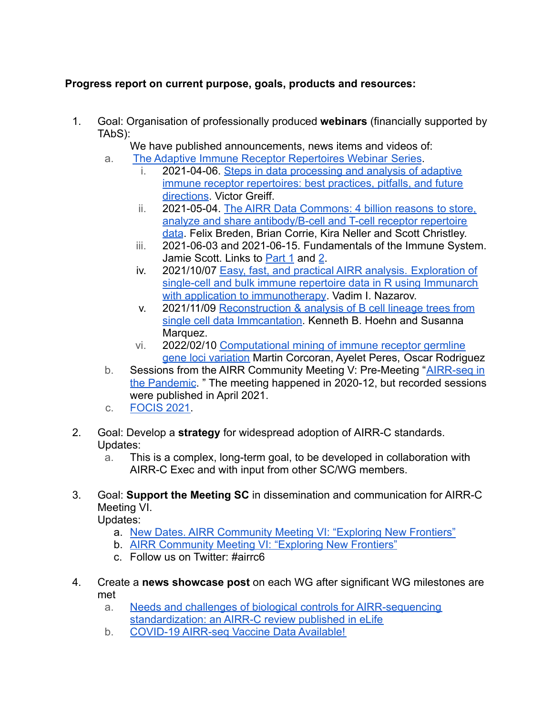# **Progress report on current purpose, goals, products and resources:**

- 1. Goal: Organisation of professionally produced **webinars** (financially supported by TAbS):
	- We have published announcements, news items and videos of:
	- a. [The Adaptive Immune Receptor Repertoires Webinar](https://www.antibodysociety.org/learningcenter/adaptive-immune-receptor-repertoires-webinar-series/) Series.
		- i. 2021-04-06. [Steps in data processing and analysis](https://www.youtube.com/watch?v=8zkQ7HjtWNQ&ab_channel=AIRRCommunity) of adaptive [immune receptor repertoires: best practices, pitfalls, and future](https://www.youtube.com/watch?v=8zkQ7HjtWNQ&ab_channel=AIRRCommunity) [directions](https://www.youtube.com/watch?v=8zkQ7HjtWNQ&ab_channel=AIRRCommunity). Victor Greiff.
		- ii. 2021-05-04. [The AIRR Data Commons: 4 billion reasons](https://www.youtube.com/watch?v=pUsfrS7vPB4&ab_channel=AIRRCommunity) to store, [analyze and share antibody/B-cell and T-cell receptor repertoire](https://www.youtube.com/watch?v=pUsfrS7vPB4&ab_channel=AIRRCommunity) [data](https://www.youtube.com/watch?v=pUsfrS7vPB4&ab_channel=AIRRCommunity). Felix Breden, Brian Corrie, Kira Neller and Scott Christley.
		- iii. 2021-06-03 and 2021-06-15. Fundamentals of the Immune System. Jamie Scott. Links to [Part 1](https://www.youtube.com/watch?v=9HE1fjdaFNg&ab_channel=AIRRCommunity) and [2](https://www.youtube.com/watch?v=ot_GAQX2afo&ab_channel=AIRRCommunity).
		- iv. 2021/10/07 [Easy, fast, and practical AIRR analysis.](https://www.youtube.com/watch?v=s4WvdS47CD4&ab_channel=AIRRCommunity) Exploration of [single-cell and bulk immune repertoire data in R using Immunarch](https://www.youtube.com/watch?v=s4WvdS47CD4&ab_channel=AIRRCommunity) [with application to immunotherapy](https://www.youtube.com/watch?v=s4WvdS47CD4&ab_channel=AIRRCommunity). Vadim I. Nazarov.
		- v. 2021/11/09 [Reconstruction & analysis of B cell lineage](https://www.youtube.com/watch?v=ZNOSQGh22X4&ab_channel=AIRRCommunity) trees from [single cell data Immcantation.](https://www.youtube.com/watch?v=ZNOSQGh22X4&ab_channel=AIRRCommunity) Kenneth B. Hoehn and Susanna Marquez.
		- vi. 2022/02/10 [Computational mining of immune receptor](https://www.youtube.com/watch?v=NYlQ7FGYYrE&ab_channel=AIRRCommunity) germline [gene loci variation](https://www.youtube.com/watch?v=NYlQ7FGYYrE&ab_channel=AIRRCommunity) Martin Corcoran, Ayelet Peres, Oscar Rodriguez
	- b. Sessions from the AIRR Community Meeting V: Pre-Meeting "[AIRR-seq in](https://www.youtube.com/playlist?list=PLV2iV_gQTXrHpdnNPnfiBtwS1ovRDorYp) [the Pandemic](https://www.youtube.com/playlist?list=PLV2iV_gQTXrHpdnNPnfiBtwS1ovRDorYp). " The meeting happened in 2020-12, but recorded sessions were published in April 2021.
	- c. [FOCIS 2021.](https://www.youtube.com/watch?v=Hq13zjb392s&list=PLV2iV_gQTXrGNRIdHdu2OdfZ9LjbQ7tEa)
- 2. Goal: Develop a **strategy** for widespread adoption of AIRR-C standards. Updates:
	- a. This is a complex, long-term goal, to be developed in collaboration with AIRR-C Exec and with input from other SC/WG members.
- 3. Goal: **Support the Meeting SC** in dissemination and communication for AIRR-C Meeting VI.

Updates:

- a. [New Dates. AIRR Community Meeting VI: "Exploring New Frontiers"](https://www.antibodysociety.org/the-airr-community/meetings/airr-community-meeting-vi-exploring-new-frontiers/)
- b. [AIRR Community Meeting VI: "Exploring New Frontiers"](https://www.antibodysociety.org/the-airr-community/meetings/airr-community-meeting-vi-exploring-new-frontiers/)
- c. Follow us on Twitter: #airrc6
- 4. Create a **news showcase post** on each WG after significant WG milestones are met
	- a. [Needs and challenges of biological controls for AIRR-sequencing](https://www.antibodysociety.org/airr-community/needs-and-challenges-about-biological-controls-for-airr-sequencing-standardization-an-airr-c-review-published-in-elife/) [standardization: an AIRR-C review published in eLife](https://www.antibodysociety.org/airr-community/needs-and-challenges-about-biological-controls-for-airr-sequencing-standardization-an-airr-c-review-published-in-elife/)
	- b. [COVID-19 AIRR-seq Vaccine Data Available!](https://www.antibodysociety.org/airr-community/covid-19-airr-seq-vaccine-data-available/)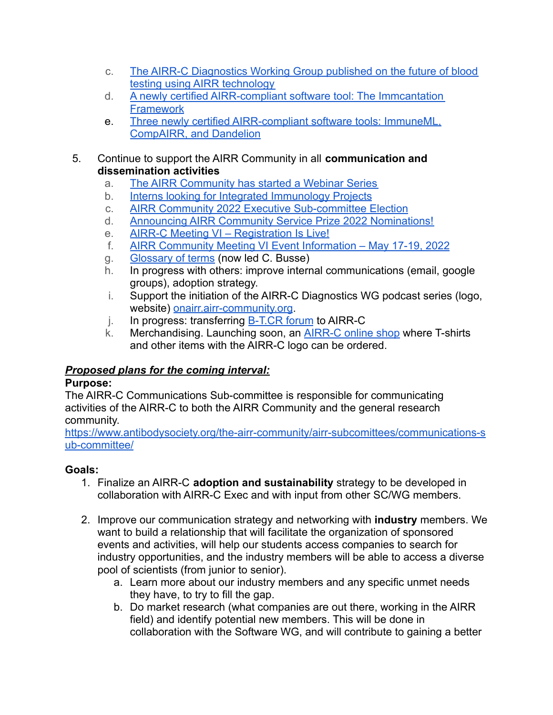- c. [The AIRR-C Diagnostics Working Group published on the future of blood](https://www.antibodysociety.org/airr-community/the-airr-c-diagnostics-working-group-published-on-the-future-of-blood-testing-using-airr-technology/) [testing using AIRR technology](https://www.antibodysociety.org/airr-community/the-airr-c-diagnostics-working-group-published-on-the-future-of-blood-testing-using-airr-technology/)
- d. [A newly certified AIRR-compliant software tool: The Immcantation](https://www.antibodysociety.org/airr-community/a-newly-certified-airr-compliant-software-tool-the-immcantation-framework/) **[Framework](https://www.antibodysociety.org/airr-community/a-newly-certified-airr-compliant-software-tool-the-immcantation-framework/)**
- e. [Three newly certified AIRR-compliant software tools: ImmuneML,](https://www.antibodysociety.org/airr-community/three-newly-certified-airr-compliant-software-tools-immuneml-compairr-and-dandelion/) [CompAIRR, and Dandelion](https://www.antibodysociety.org/airr-community/three-newly-certified-airr-compliant-software-tools-immuneml-compairr-and-dandelion/)
- 5. Continue to support the AIRR Community in all **communication and dissemination activities**
	- a. [The AIRR Community has started a Webinar Series](https://www.antibodysociety.org/airr-community/the-airr-community-has-started-a-webinar-series/)
	- b. [Interns looking for Integrated Immunology Projects](https://www.antibodysociety.org/airr-community/interns-looking-for-integrated-immunology-projects/)
	- c. [AIRR Community 2022 Executive Sub-committee Election](https://www.antibodysociety.org/airr-community/airr-community-executive-sub-committee-election/)
	- d. [Announcing AIRR Community Service Prize 2022 Nominations!](https://www.antibodysociety.org/airr-community/announcing-airr-community-service-prize-2022-nominations/)
	- e. AIRR-C Meeting VI Registration Is Live!
	- f. [AIRR Community Meeting VI Event Information May 17-19, 2022](https://www.antibodysociety.org/airr-community/airr-community-meeting-vi-event-information-may-16-19-2022/)
	- g. [Glossary of terms](https://zenodo.org/record/5095381#.YTJK7NNKjgE) (now led C. Busse)
	- h. In progress with others: improve internal communications (email, google groups), adoption strategy.
	- i. Support the initiation of the AIRR-C Diagnostics WG podcast series (logo, website) [onairr.airr-community.org](http://onairr.airr-community.org/).
	- j. In progress: transferring [B-T.CR forum](https://b-t.cr/) to AIRR-C
	- k. Merchandising. Launching soon, an [AIRR-C online shop](https://airrcmerch.teemill.com/) where T-shirts and other items with the AIRR-C logo can be ordered.

# *Proposed plans for the coming interval:*

### **Purpose:**

The AIRR-C Communications Sub-committee is responsible for communicating activities of the AIRR-C to both the AIRR Community and the general research community.

[https://www.antibodysociety.org/the-airr-community/airr-subcomittees/communications-s](https://www.antibodysociety.org/the-airr-community/airr-subcomittees/communications-sub-committee/) [ub-committee/](https://www.antibodysociety.org/the-airr-community/airr-subcomittees/communications-sub-committee/)

# **Goals:**

- 1. Finalize an AIRR-C **adoption and sustainability** strategy to be developed in collaboration with AIRR-C Exec and with input from other SC/WG members.
- 2. Improve our communication strategy and networking with **industry** members. We want to build a relationship that will facilitate the organization of sponsored events and activities, will help our students access companies to search for industry opportunities, and the industry members will be able to access a diverse pool of scientists (from junior to senior).
	- a. Learn more about our industry members and any specific unmet needs they have, to try to fill the gap.
	- b. Do market research (what companies are out there, working in the AIRR field) and identify potential new members. This will be done in collaboration with the Software WG, and will contribute to gaining a better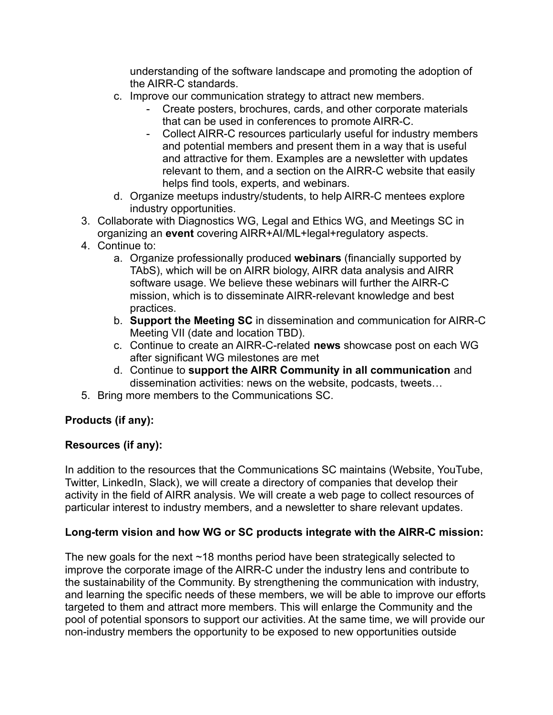understanding of the software landscape and promoting the adoption of the AIRR-C standards.

- c. Improve our communication strategy to attract new members.
	- Create posters, brochures, cards, and other corporate materials that can be used in conferences to promote AIRR-C.
	- Collect AIRR-C resources particularly useful for industry members and potential members and present them in a way that is useful and attractive for them. Examples are a newsletter with updates relevant to them, and a section on the AIRR-C website that easily helps find tools, experts, and webinars.
- d. Organize meetups industry/students, to help AIRR-C mentees explore industry opportunities.
- 3. Collaborate with Diagnostics WG, Legal and Ethics WG, and Meetings SC in organizing an **event** covering AIRR+AI/ML+legal+regulatory aspects.
- 4. Continue to:
	- a. Organize professionally produced **webinars** (financially supported by TAbS), which will be on AIRR biology, AIRR data analysis and AIRR software usage. We believe these webinars will further the AIRR-C mission, which is to disseminate AIRR-relevant knowledge and best practices.
	- b. **Support the Meeting SC** in dissemination and communication for AIRR-C Meeting VII (date and location TBD).
	- c. Continue to create an AIRR-C-related **news** showcase post on each WG after significant WG milestones are met
	- d. Continue to **support the AIRR Community in all communication** and dissemination activities: news on the website, podcasts, tweets…
- 5. Bring more members to the Communications SC.

# **Products (if any):**

# **Resources (if any):**

In addition to the resources that the Communications SC maintains (Website, YouTube, Twitter, LinkedIn, Slack), we will create a directory of companies that develop their activity in the field of AIRR analysis. We will create a web page to collect resources of particular interest to industry members, and a newsletter to share relevant updates.

# **Long-term vision and how WG or SC products integrate with the AIRR-C mission:**

The new goals for the next  $\sim$  18 months period have been strategically selected to improve the corporate image of the AIRR-C under the industry lens and contribute to the sustainability of the Community. By strengthening the communication with industry, and learning the specific needs of these members, we will be able to improve our efforts targeted to them and attract more members. This will enlarge the Community and the pool of potential sponsors to support our activities. At the same time, we will provide our non-industry members the opportunity to be exposed to new opportunities outside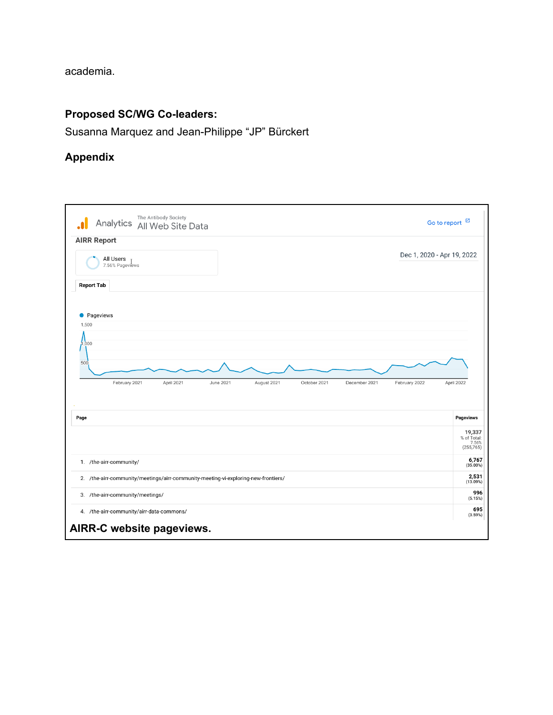academia.

### **Proposed SC/WG Co-leaders:**

Susanna Marquez and Jean-Philippe "JP" Bürckert

### **Appendix**

<span id="page-5-0"></span>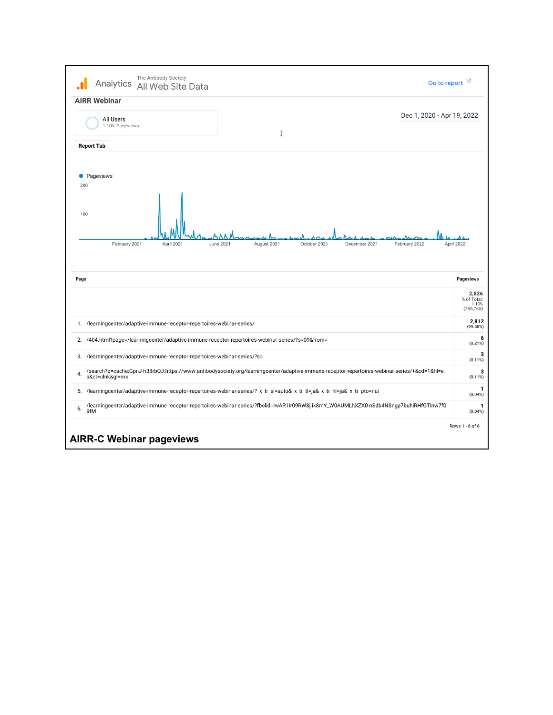<span id="page-6-0"></span>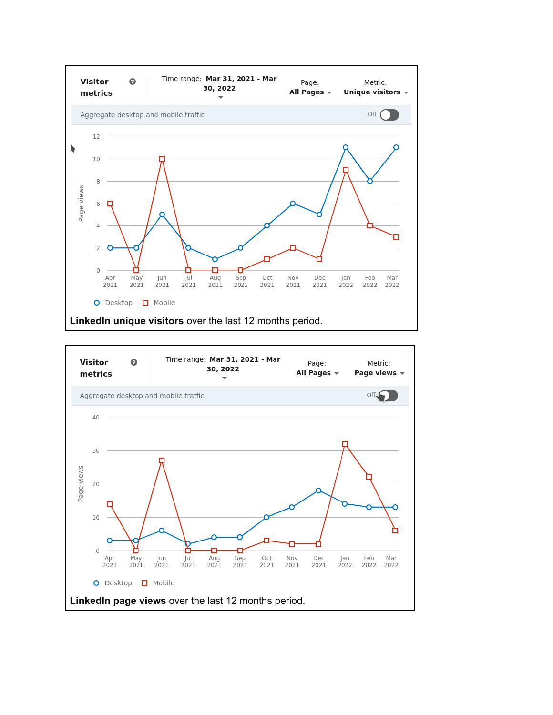

<span id="page-7-1"></span><span id="page-7-0"></span>